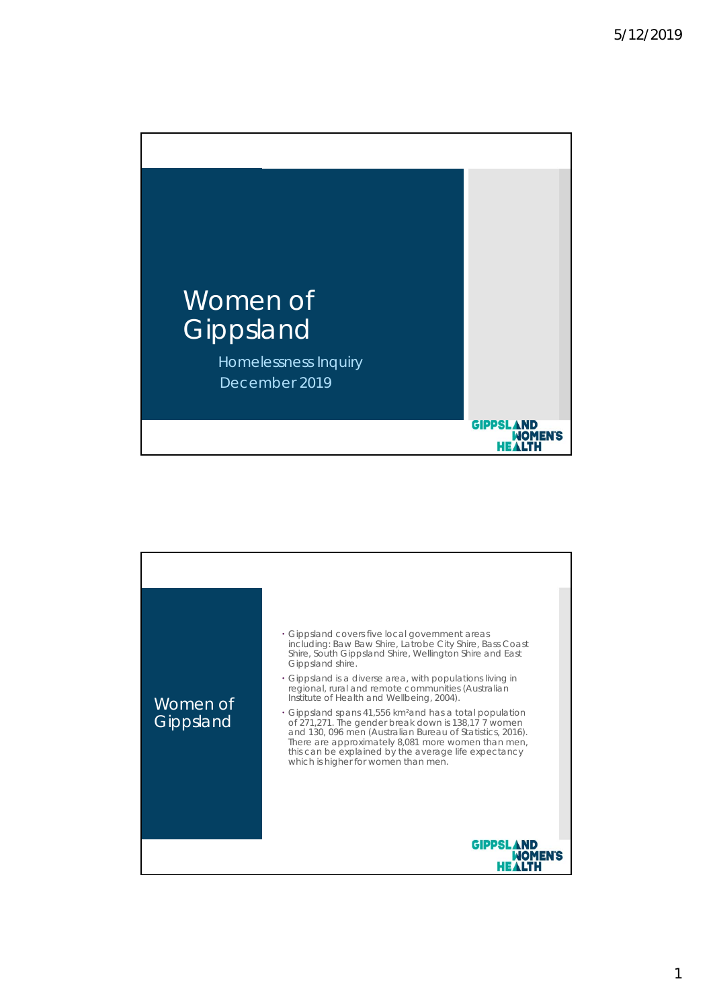

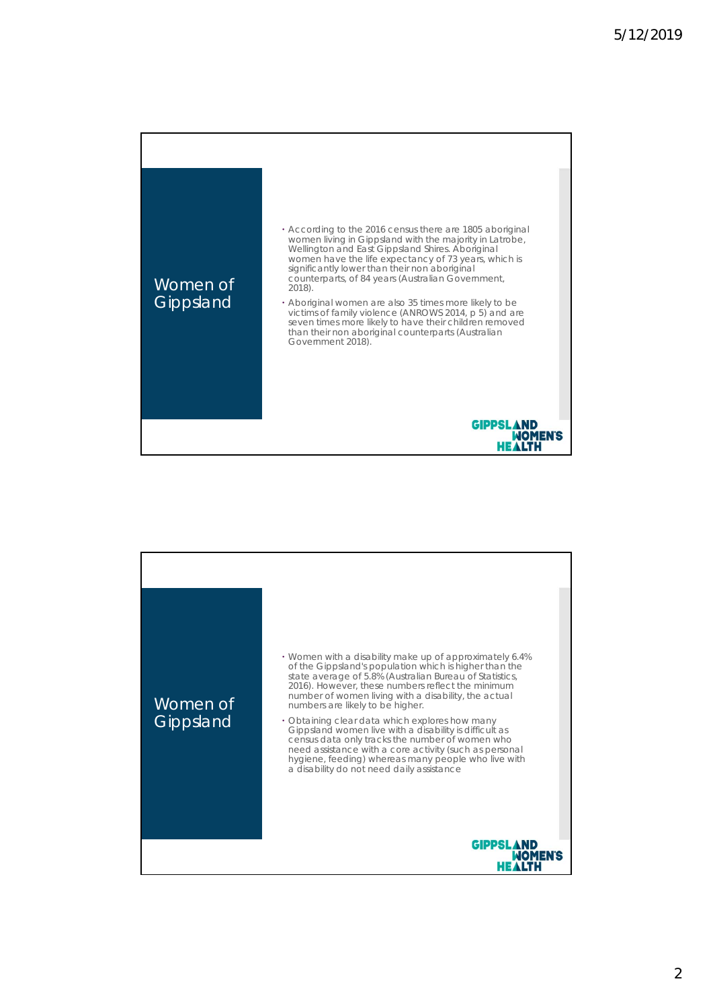

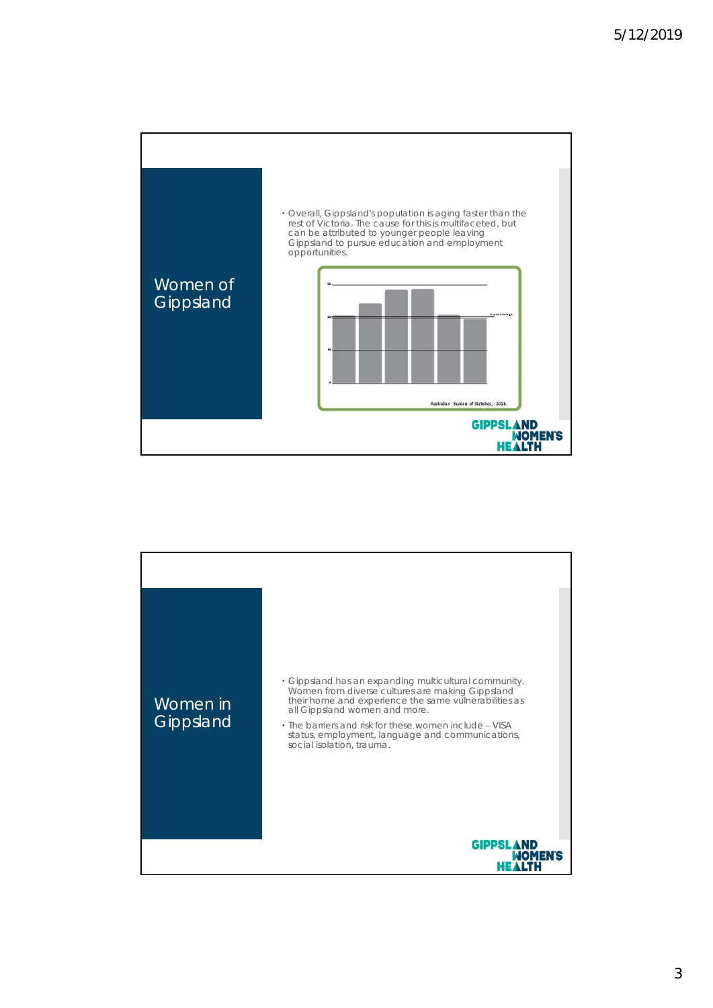

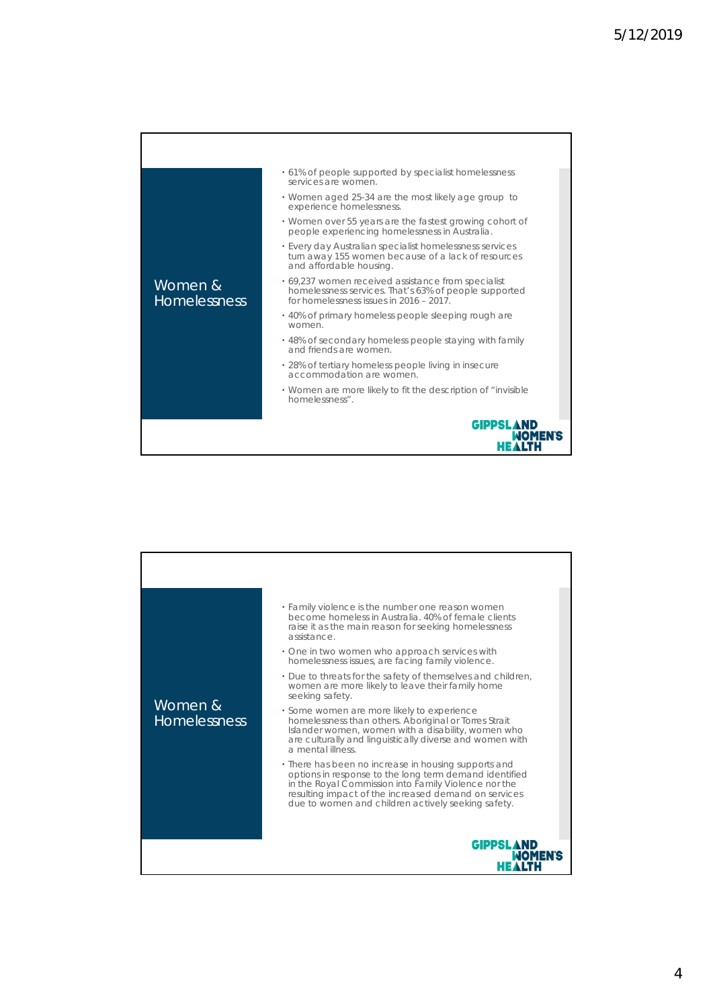| Women &<br><b>Homelessness</b> | • 61% of people supported by specialist homelessness<br>services are women.                                                                            |
|--------------------------------|--------------------------------------------------------------------------------------------------------------------------------------------------------|
|                                | • Women aged 25-34 are the most likely age group to<br>experience homelessness.                                                                        |
|                                | • Women over 55 years are the fastest growing cohort of<br>people experiencing homelessness in Australia.                                              |
|                                | • Every day Australian specialist homelessness services<br>turn away 155 women because of a lack of resources<br>and affordable housing.               |
|                                | • 69,237 women received assistance from specialist<br>homelessness services. That's 63% of people supported<br>for homelessness issues in 2016 - 2017. |
|                                | • 40% of primary homeless people sleeping rough are<br>women.                                                                                          |
|                                | • 48% of secondary homeless people staying with family<br>and friends are women                                                                        |
|                                | • 28% of tertiary homeless people living in insecure<br>accommodation are women.                                                                       |
|                                | • Women are more likely to fit the description of "invisible"<br>homelessness".                                                                        |
|                                | <b>GIPPSLAND</b>                                                                                                                                       |

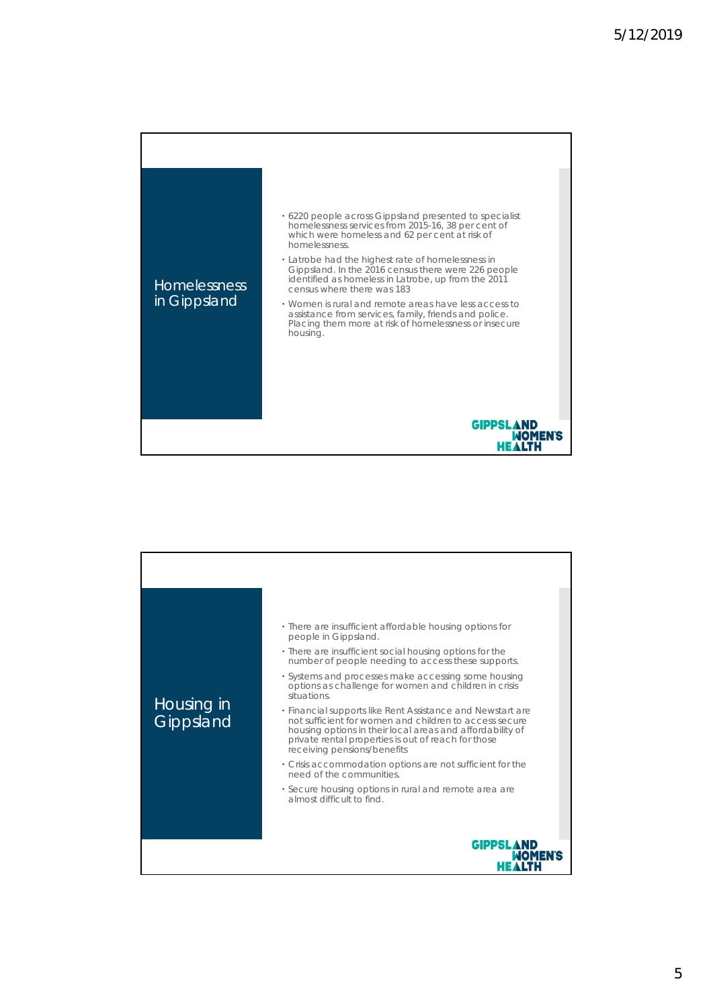

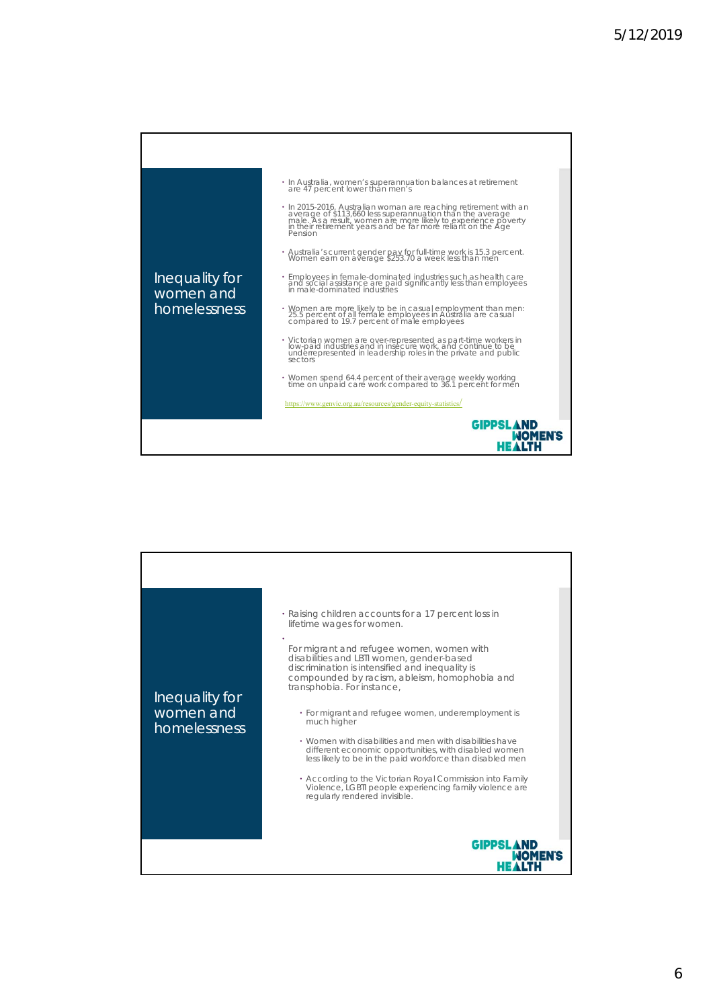

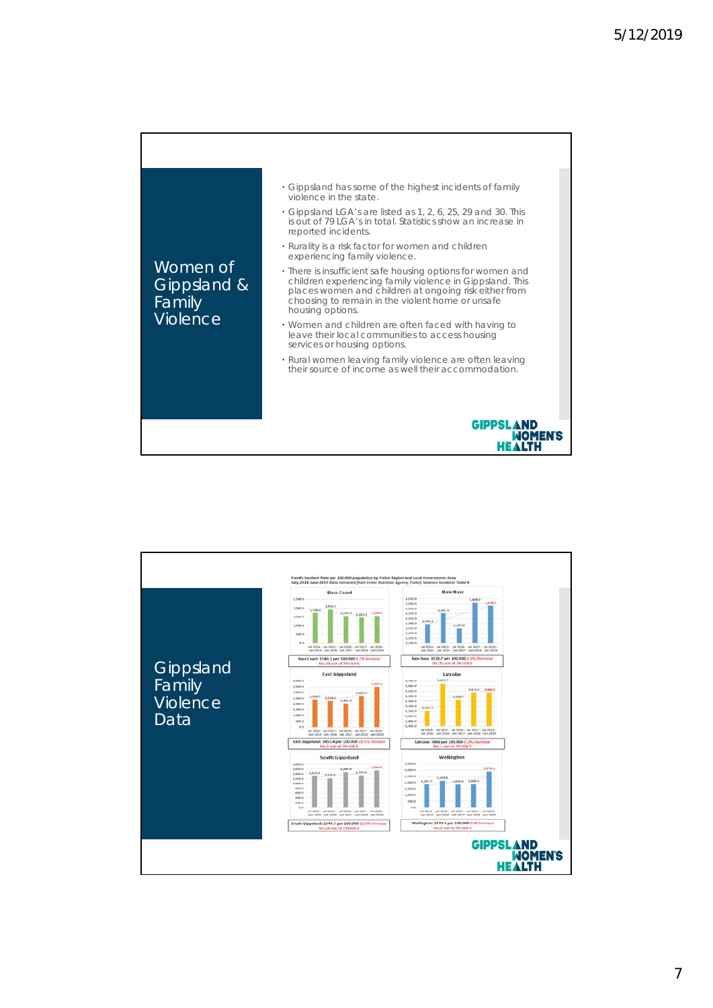

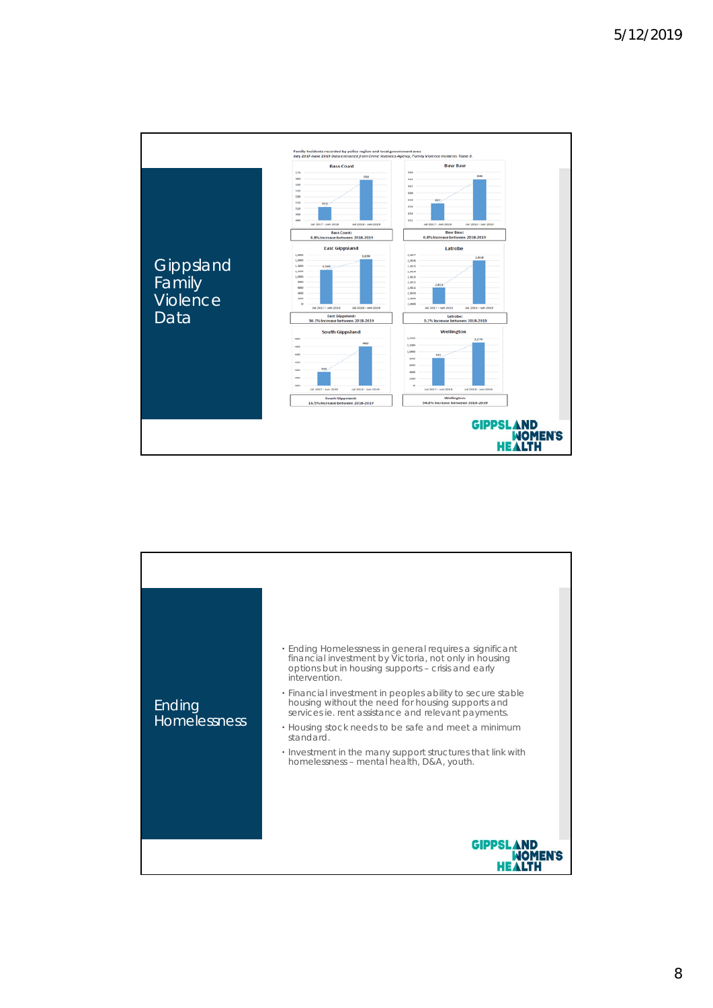